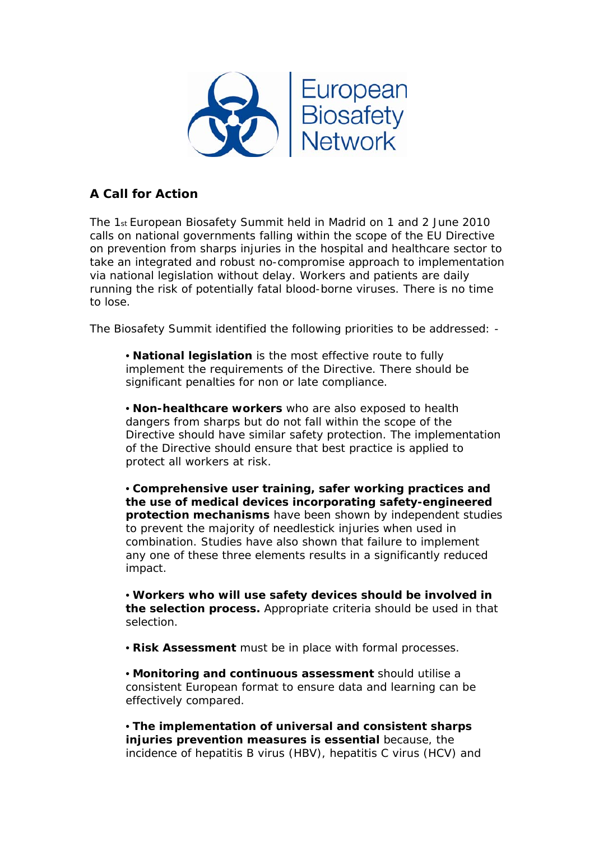

## **A Call for Action**

The 1st European Biosafety Summit held in Madrid on 1 and 2 June 2010 calls on national governments falling within the scope of the EU Directive on prevention from sharps injuries in the hospital and healthcare sector to take an integrated and robust no-compromise approach to implementation via national legislation without delay. Workers and patients are daily running the risk of potentially fatal blood-borne viruses. There is no time to lose.

The Biosafety Summit identified the following priorities to be addressed: -

 • **National legislation** is the most effective route to fully implement the requirements of the Directive. There should be significant penalties for non or late compliance.

 • **Non-healthcare workers** who are also exposed to health dangers from sharps but do not fall within the scope of the Directive should have similar safety protection. The implementation of the Directive should ensure that best practice is applied to protect all workers at risk.

 • **Comprehensive user training, safer working practices and the use of medical devices incorporating safety-engineered protection mechanisms** have been shown by independent studies to prevent the majority of needlestick injuries when used in combination. Studies have also shown that failure to implement any one of these three elements results in a significantly reduced impact.

 • **Workers who will use safety devices should be involved in the selection process.** Appropriate criteria should be used in that selection.

• **Risk Assessment** must be in place with formal processes.

 • **Monitoring and continuous assessment** should utilise a consistent European format to ensure data and learning can be effectively compared.

 • **The implementation of universal and consistent sharps injuries prevention measures is essential** because, the incidence of hepatitis B virus (HBV), hepatitis C virus (HCV) and